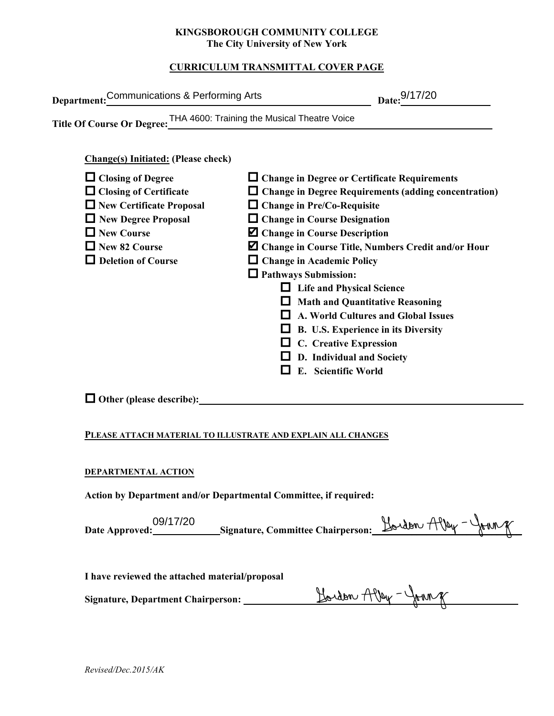## **KINGSBOROUGH COMMUNITY COLLEGE The City University of New York**

# **CURRICULUM TRANSMITTAL COVER PAGE**

| Department: Communications & Performing Arts                                                                                                                                                                                                                                   | Date: 9/17/20                                                                                                                                                                                                                                                                                                                                                                                                                                                                                                                                                                                                                                      |  |
|--------------------------------------------------------------------------------------------------------------------------------------------------------------------------------------------------------------------------------------------------------------------------------|----------------------------------------------------------------------------------------------------------------------------------------------------------------------------------------------------------------------------------------------------------------------------------------------------------------------------------------------------------------------------------------------------------------------------------------------------------------------------------------------------------------------------------------------------------------------------------------------------------------------------------------------------|--|
| Title Of Course Or Degree: THA 4600: Training the Musical Theatre Voice                                                                                                                                                                                                        |                                                                                                                                                                                                                                                                                                                                                                                                                                                                                                                                                                                                                                                    |  |
| <b>Change(s)</b> Initiated: (Please check)<br>$\Box$ Closing of Degree<br>$\Box$ Closing of Certificate<br>$\Box$ New Certificate Proposal<br>New Degree Proposal<br>$\Box$ New Course<br>$\Box$ New 82 Course<br>$\Box$ Deletion of Course<br>$\Box$ Other (please describe): | $\Box$ Change in Degree or Certificate Requirements<br>$\Box$ Change in Degree Requirements (adding concentration)<br>$\Box$ Change in Pre/Co-Requisite<br>$\Box$ Change in Course Designation<br><b>Z</b> Change in Course Description<br>Z Change in Course Title, Numbers Credit and/or Hour<br>$\Box$ Change in Academic Policy<br>$\Box$ Pathways Submission:<br>$\Box$ Life and Physical Science<br>$\Box$ Math and Quantitative Reasoning<br>$\Box$ A. World Cultures and Global Issues<br>$\Box$ B. U.S. Experience in its Diversity<br>$\Box$ C. Creative Expression<br>$\Box$ D. Individual and Society<br>E. Scientific World<br>$\Box$ |  |
| PLEASE ATTACH MATERIAL TO ILLUSTRATE AND EXPLAIN ALL CHANGES                                                                                                                                                                                                                   |                                                                                                                                                                                                                                                                                                                                                                                                                                                                                                                                                                                                                                                    |  |
| DEPARTMENTAL ACTION<br>Action by Department and/or Departmental Committee, if required:                                                                                                                                                                                        |                                                                                                                                                                                                                                                                                                                                                                                                                                                                                                                                                                                                                                                    |  |
| 09/17/20                                                                                                                                                                                                                                                                       | Harden, Allen - Johnne                                                                                                                                                                                                                                                                                                                                                                                                                                                                                                                                                                                                                             |  |

## **PLEASE ATTACH MATERIAL TO ILLUSTRATE AND EXPLAIN ALL CHANGES**

## **DEPARTMENTAL ACTION**

| 09/17/20       |                                          | Hordon Alley - yourng |  |
|----------------|------------------------------------------|-----------------------|--|
| Date Approved: | <b>Signature, Committee Chairperson:</b> |                       |  |
|                |                                          |                       |  |

**I have reviewed the attached material/proposal**

**Signature, Department Chairperson: \_\_\_\_\_\_\_\_\_\_\_\_\_\_\_\_\_\_\_\_\_\_\_\_\_\_\_\_\_\_\_\_\_\_\_\_\_\_\_\_\_\_\_\_\_\_\_\_\_\_\_\_\_\_\_**